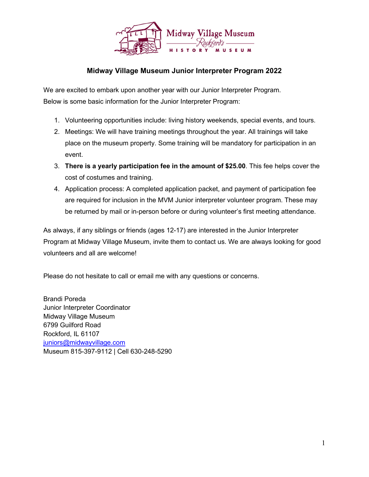

## **Midway Village Museum Junior Interpreter Program 2022**

We are excited to embark upon another year with our Junior Interpreter Program. Below is some basic information for the Junior Interpreter Program:

- 1. Volunteering opportunities include: living history weekends, special events, and tours.
- 2. Meetings: We will have training meetings throughout the year. All trainings will take place on the museum property. Some training will be mandatory for participation in an event.
- 3. **There is a yearly participation fee in the amount of \$25.00**. This fee helps cover the cost of costumes and training.
- 4. Application process: A completed application packet, and payment of participation fee are required for inclusion in the MVM Junior interpreter volunteer program. These may be returned by mail or in-person before or during volunteer's first meeting attendance.

As always, if any siblings or friends (ages 12-17) are interested in the Junior Interpreter Program at Midway Village Museum, invite them to contact us. We are always looking for good volunteers and all are welcome!

Please do not hesitate to call or email me with any questions or concerns.

Brandi Poreda Junior Interpreter Coordinator Midway Village Museum 6799 Guilford Road Rockford, IL 61107 [juniors@midwayvillage.com](mailto:juniors@midwayvillage.com) Museum 815-397-9112 | Cell 630-248-5290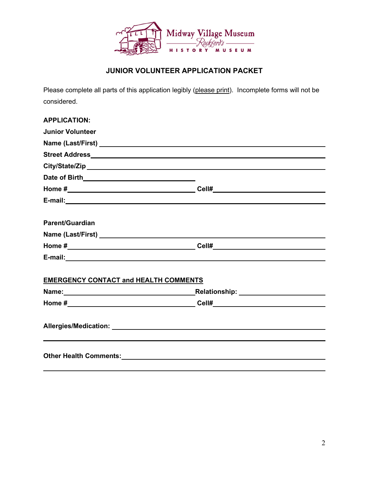

# **JUNIOR VOLUNTEER APPLICATION PACKET**

Please complete all parts of this application legibly (please print). Incomplete forms will not be considered.

| <b>APPLICATION:</b>                                                                                                                                                                                                            |  |
|--------------------------------------------------------------------------------------------------------------------------------------------------------------------------------------------------------------------------------|--|
| <b>Junior Volunteer</b>                                                                                                                                                                                                        |  |
|                                                                                                                                                                                                                                |  |
|                                                                                                                                                                                                                                |  |
|                                                                                                                                                                                                                                |  |
|                                                                                                                                                                                                                                |  |
|                                                                                                                                                                                                                                |  |
|                                                                                                                                                                                                                                |  |
| <b>Parent/Guardian</b>                                                                                                                                                                                                         |  |
|                                                                                                                                                                                                                                |  |
|                                                                                                                                                                                                                                |  |
|                                                                                                                                                                                                                                |  |
| <b>EMERGENCY CONTACT and HEALTH COMMENTS</b>                                                                                                                                                                                   |  |
|                                                                                                                                                                                                                                |  |
|                                                                                                                                                                                                                                |  |
|                                                                                                                                                                                                                                |  |
|                                                                                                                                                                                                                                |  |
| Other Health Comments: Cambridge Comments: Cambridge Comments: Cambridge Comments: Cambridge Comments: Cambridge Comments: Cambridge Comments: Cambridge Comments: Cambridge Comments: Cambridge Comments: Cambridge Comments: |  |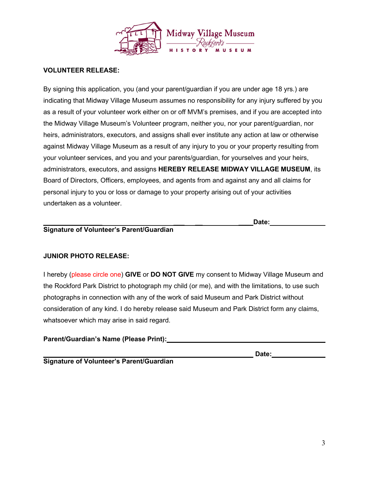

#### **VOLUNTEER RELEASE:**

By signing this application, you (and your parent/guardian if you are under age 18 yrs.) are indicating that Midway Village Museum assumes no responsibility for any injury suffered by you as a result of your volunteer work either on or off MVM's premises, and if you are accepted into the Midway Village Museum's Volunteer program, neither you, nor your parent/guardian, nor heirs, administrators, executors, and assigns shall ever institute any action at law or otherwise against Midway Village Museum as a result of any injury to you or your property resulting from your volunteer services, and you and your parents/guardian, for yourselves and your heirs, administrators, executors, and assigns **HEREBY RELEASE MIDWAY VILLAGE MUSEUM**, its Board of Directors, Officers, employees, and agents from and against any and all claims for personal injury to you or loss or damage to your property arising out of your activities undertaken as a volunteer.

**\_\_\_\_\_\_\_\_\_\_\_\_\_\_\_\_ \_\_\_ \_\_ \_\_\_\_Date:**

## **Signature of Volunteer's Parent/Guardian**

#### **JUNIOR PHOTO RELEASE:**

I hereby (please circle one) **GIVE** or **DO NOT GIVE** my consent to Midway Village Museum and the Rockford Park District to photograph my child (or me), and with the limitations, to use such photographs in connection with any of the work of said Museum and Park District without consideration of any kind. I do hereby release said Museum and Park District form any claims, whatsoever which may arise in said regard.

#### **Parent/Guardian's Name (Please Print):**

**\_\_\_\_\_\_\_\_\_\_\_\_\_\_\_\_ \_\_\_ \_\_ \_\_\_\_ Date: Signature of Volunteer's Parent/Guardian**